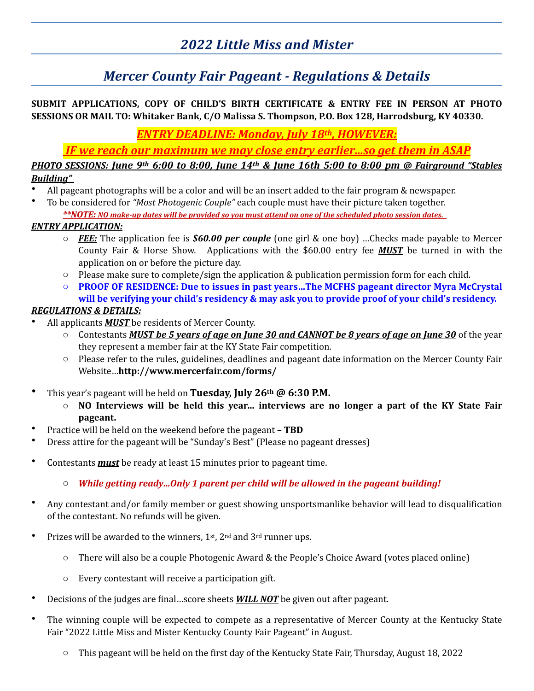## *2022 Little Miss and Mister*

### *Mercer County Fair Pageant - Regulations & Details*

#### SUBMIT APPLICATIONS, COPY OF CHILD'S BIRTH CERTIFICATE & ENTRY FEE IN PERSON AT PHOTO **SESSIONS OR MAIL TO: Whitaker Bank, C/O Malissa S. Thompson, P.O. Box 128, Harrodsburg, KY 40330.**

*ENTRY DEADLINE: Monday, July 18th, HOWEVER:*

*IF* we reach our maximum we may close entry earlier...so get them in ASAP

*PHOTO* SESSIONS: June 9<sup>th</sup> 6:00 to 8:00, June 14<sup>th</sup> & June 16th 5:00 to 8:00 pm @ Fairground "Stables *Building"* 

- All pageant photographs will be a color and will be an insert added to the fair program  $\&$  newspaper.
- To be considered for "Most Photogenic Couple" each couple must have their picture taken together.

\*\*NOTE: NO make-up dates will be provided so you must attend on one of the scheduled photo session dates.

#### *ENTRY APPLICATION:*

- o *FEE:* The application fee is *\$60.00 per couple* (one girl & one boy) …Checks made payable to Mercer County Fair & Horse Show. Applications with the \$60.00 entry fee **MUST** be turned in with the application on or before the picture day.
- $\circ$  Please make sure to complete/sign the application & publication permission form for each child.
- **O PROOF OF RESIDENCE: Due to issues in past years...The MCFHS pageant director Myra McCrystal** will be verifying your child's residency & may ask you to provide proof of your child's residency.

#### *REGULATIONS & DETAILS:*

- All applicants **MUST** be residents of Mercer County.
	- Contestants MUST be 5 years of age on June 30 and CANNOT be 8 years of age on June 30 of the year they represent a member fair at the KY State Fair competition.
	- $\circ$  Please refer to the rules, guidelines, deadlines and pageant date information on the Mercer County Fair Website…**http://www.mercerfair.com/forms/**
- This year's pageant will be held on Tuesday, July 26<sup>th</sup> @ 6:30 P.M.
	- **NO** Interviews will be held this year... interviews are no longer a part of the KY State Fair **pageant.**
- Practice will be held on the weekend before the pageant **TBD**
- Dress attire for the pageant will be "Sunday's Best" (Please no pageant dresses)
- Contestants *must* be ready at least 15 minutes prior to pageant time.
	- $\circ$  *While getting ready...Only 1 parent per child will be allowed in the pageant building!*
- Any contestant and/or family member or guest showing unsportsmanlike behavior will lead to disqualification of the contestant. No refunds will be given.
- Prizes will be awarded to the winners,  $1<sup>st</sup>$ ,  $2<sup>nd</sup>$  and  $3<sup>rd</sup>$  runner ups.
	- $\circ$  There will also be a couple Photogenic Award & the People's Choice Award (votes placed online)
	- $\circ$  Every contestant will receive a participation gift.
- Decisions of the judges are final...score sheets **WILL NOT** be given out after pageant.
- The winning couple will be expected to compete as a representative of Mercer County at the Kentucky State Fair "2022 Little Miss and Mister Kentucky County Fair Pageant" in August.
	- $\circ$  This pageant will be held on the first day of the Kentucky State Fair, Thursday, August 18, 2022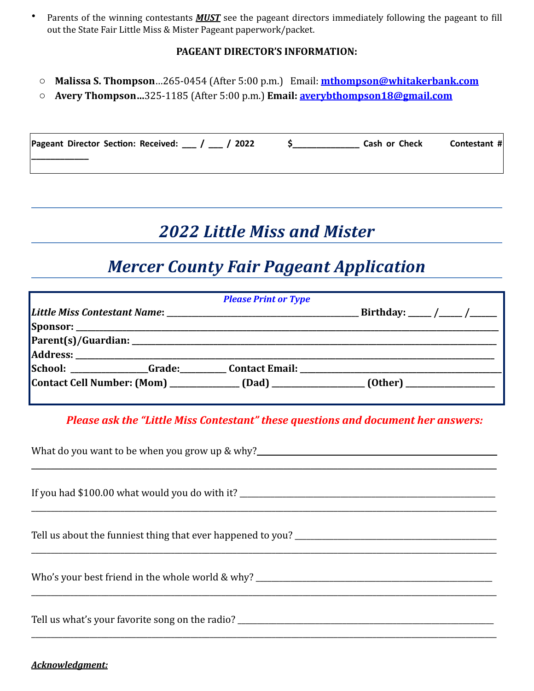• Parents of the winning contestants **MUST** see the pageant directors immediately following the pageant to fill out the State Fair Little Miss & Mister Pageant paperwork/packet.

#### **PAGEANT DIRECTOR'S INFORMATION:**

- **o** Malissa S. Thompson...265-0454 (After 5:00 p.m.) Email: **[mthompson@whitakerbank.com](mailto:mthompson@whitakerbank.com)**
- o **Avery Thompson…**325-1185 (After 5:00 p.m.) **Email: [averybthompson18@gmail.com](mailto:averybthompson18@gmail.com)**

| Pageant Director Section: Received: 1 / 2022 | Cash or Check | Contestant # |
|----------------------------------------------|---------------|--------------|
|                                              |               |              |

## *2022 Little Miss and Mister*

## *Mercer County Fair Pageant Application*

| <b>Please Print or Type</b> |  |                                                                                                     |  |  |
|-----------------------------|--|-----------------------------------------------------------------------------------------------------|--|--|
|                             |  |                                                                                                     |  |  |
|                             |  |                                                                                                     |  |  |
|                             |  |                                                                                                     |  |  |
|                             |  |                                                                                                     |  |  |
|                             |  |                                                                                                     |  |  |
|                             |  | Contact Cell Number: (Mom) ______________ (Dad) __________________ (Other) ________________________ |  |  |

*Please ask the "Little Miss Contestant" these questions and document her answers:* 

| What do you want to be when you grow up & why?___________________________________ |  |  |
|-----------------------------------------------------------------------------------|--|--|
|                                                                                   |  |  |
|                                                                                   |  |  |
|                                                                                   |  |  |
|                                                                                   |  |  |
|                                                                                   |  |  |

#### *Acknowledgment:*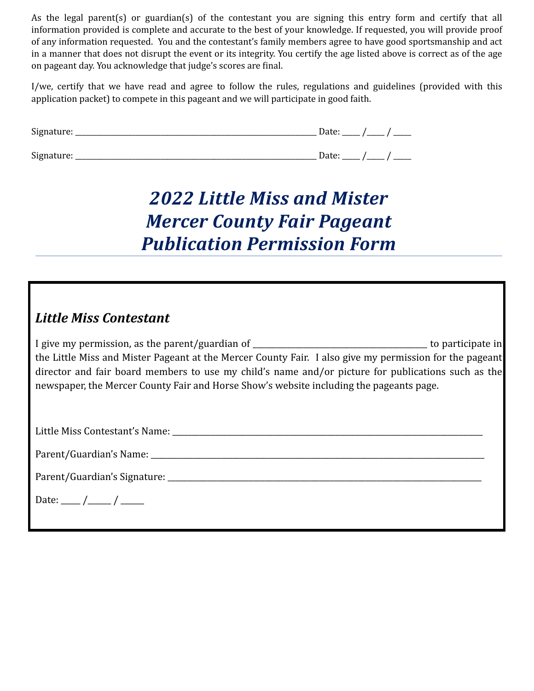As the legal parent(s) or guardian(s) of the contestant you are signing this entry form and certify that all information provided is complete and accurate to the best of your knowledge. If requested, you will provide proof of any information requested. You and the contestant's family members agree to have good sportsmanship and act in a manner that does not disrupt the event or its integrity. You certify the age listed above is correct as of the age on pageant day. You acknowledge that judge's scores are final.

I/we, certify that we have read and agree to follow the rules, regulations and guidelines (provided with this application packet) to compete in this pageant and we will participate in good faith.

| Signature: | Date:<br>$\sim$ $\sim$            |
|------------|-----------------------------------|
| Signature: | Date:<br>$\overline{\phantom{a}}$ |

# *2022 Little Miss and Mister Mercer County Fair Pageant Publication Permission Form*

### Little Miss Contestant

I give my permission, as the parent/guardian of \_\_\_\_\_\_\_\_\_\_\_\_\_\_\_\_\_\_\_\_\_\_\_\_\_\_\_\_\_\_\_\_\_\_\_\_\_\_\_\_\_\_\_\_\_ to participate in the Little Miss and Mister Pageant at the Mercer County Fair. I also give my permission for the pageant director and fair board members to use my child's name and/or picture for publications such as the newspaper, the Mercer County Fair and Horse Show's website including the pageants page.

Little Miss Contestant's Name: \_\_\_\_\_\_\_\_\_\_\_\_\_\_\_\_\_\_\_\_\_\_\_\_\_\_\_\_\_\_\_\_\_\_\_\_\_\_\_\_\_\_\_\_\_\_\_\_\_\_\_\_\_\_\_\_\_\_\_\_\_\_\_\_\_\_\_\_\_\_\_\_\_\_\_\_\_\_\_\_

Parent/Guardian's Name:  $\Box$ 

Parent/Guardian's Signature: \_\_\_\_\_\_\_\_\_\_\_\_\_\_\_\_\_\_\_\_\_\_\_\_\_\_\_\_\_\_\_\_\_\_\_\_\_\_\_\_\_\_\_\_\_\_\_\_\_\_\_\_\_\_\_\_\_\_\_\_\_\_\_\_\_\_\_\_\_\_\_\_\_\_\_\_\_\_\_\_\_

Date: \_\_\_\_\_ / \_\_\_\_\_ / \_\_\_\_\_\_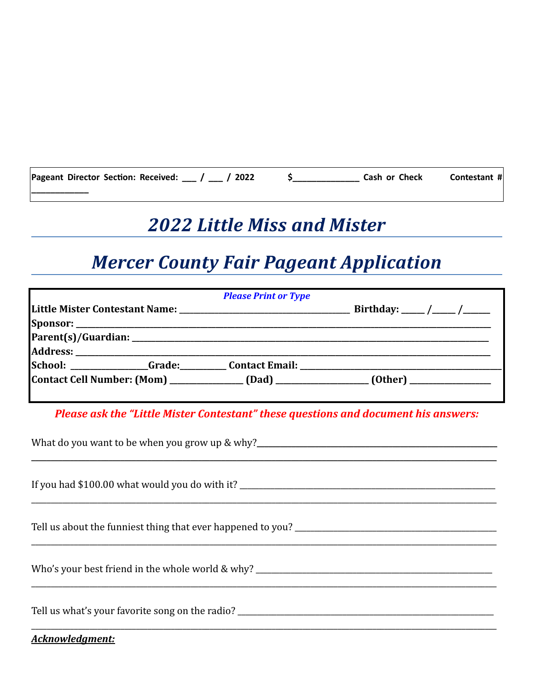| Pageant Director Section: Received: __ / __ / 2022 | Cash or Check | Contestant # |
|----------------------------------------------------|---------------|--------------|
|                                                    |               |              |

## **2022 Little Miss and Mister**

## **Mercer County Fair Pageant Application**

|  | <b>Please Print or Type</b>                                                      |                                                                                        |
|--|----------------------------------------------------------------------------------|----------------------------------------------------------------------------------------|
|  |                                                                                  | Birthday: _____ /____ /_____                                                           |
|  |                                                                                  |                                                                                        |
|  |                                                                                  |                                                                                        |
|  |                                                                                  |                                                                                        |
|  | School: _______________Grade:__________Contact Email: __________________________ |                                                                                        |
|  |                                                                                  | Contact Cell Number: (Mom) ______________(Dad) ________________(Other) _______________ |

Please ask the "Little Mister Contestant" these questions and document his answers:

| What do you want to be when you grow up & why?___________________________________ |
|-----------------------------------------------------------------------------------|
|                                                                                   |
|                                                                                   |
|                                                                                   |
|                                                                                   |
| <b>Acknowledgment:</b>                                                            |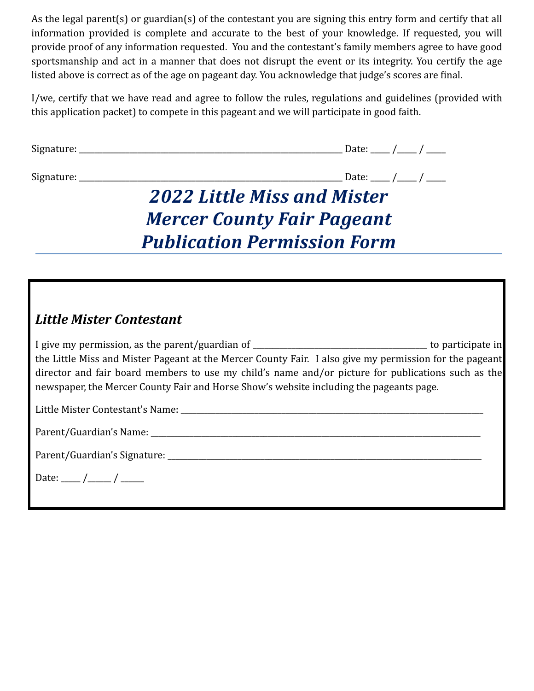As the legal parent(s) or guardian(s) of the contestant you are signing this entry form and certify that all information provided is complete and accurate to the best of your knowledge. If requested, you will provide proof of any information requested. You and the contestant's family members agree to have good sportsmanship and act in a manner that does not disrupt the event or its integrity. You certify the age listed above is correct as of the age on pageant day. You acknowledge that judge's scores are final.

I/we, certify that we have read and agree to follow the rules, regulations and guidelines (provided with this application packet) to compete in this pageant and we will participate in good faith.

| paco, |  |
|-------|--|
|       |  |

Signature: \_\_\_\_\_\_\_\_\_\_\_\_\_\_\_\_\_\_\_\_\_\_\_\_\_\_\_\_\_\_\_\_\_\_\_\_\_\_\_\_\_\_\_\_\_\_\_\_\_\_\_\_\_\_\_\_\_\_\_\_\_\_\_\_\_\_\_\_ Date: \_\_\_\_\_ /\_\_\_\_\_ / \_\_\_\_\_

# *2022 Little Miss and Mister Mercer County Fair Pageant Publication Permission Form*

### *Little Mister Contestant*

I give my permission, as the parent/guardian of \_\_\_\_\_\_\_\_\_\_\_\_\_\_\_\_\_\_\_\_\_\_\_\_\_\_\_\_\_\_\_\_\_\_\_\_\_\_\_\_\_\_\_\_\_ to participate in the Little Miss and Mister Pageant at the Mercer County Fair. I also give my permission for the pageant director and fair board members to use my child's name and/or picture for publications such as the newspaper, the Mercer County Fair and Horse Show's website including the pageants page.

Little Mister Contestant's Name: \_\_\_\_\_\_\_\_\_\_\_\_\_\_\_\_\_\_\_\_\_\_\_\_\_\_\_\_\_\_\_\_\_\_\_\_\_\_\_\_\_\_\_\_\_\_\_\_\_\_\_\_\_\_\_\_\_\_\_\_\_\_\_\_\_\_\_\_\_\_\_\_\_\_\_\_\_\_

| Parent/Guardian's Name: |  |  |
|-------------------------|--|--|
|-------------------------|--|--|

Parent/Guardian's Signature: \_\_\_\_\_\_\_\_\_\_\_\_\_\_\_\_\_\_\_\_\_\_\_\_\_\_\_\_\_\_\_\_\_\_\_\_\_\_\_\_\_\_\_\_\_\_\_\_\_\_\_\_\_\_\_\_\_\_\_\_\_\_\_\_\_\_\_\_\_\_\_\_\_\_\_\_\_\_\_\_\_

Date:  $\frac{1}{\sqrt{2\pi}}$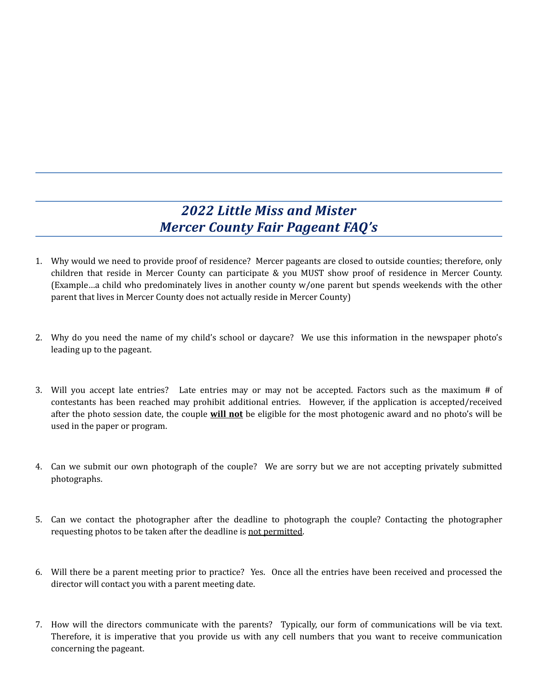### *2022 Little Miss and Mister Mercer County Fair Pageant FAQ's*

- 1. Why would we need to provide proof of residence? Mercer pageants are closed to outside counties; therefore, only children that reside in Mercer County can participate & you MUST show proof of residence in Mercer County. (Example...a child who predominately lives in another county w/one parent but spends weekends with the other parent that lives in Mercer County does not actually reside in Mercer County)
- 2. Why do you need the name of my child's school or daycare? We use this information in the newspaper photo's leading up to the pageant.
- 3. Will you accept late entries? Late entries may or may not be accepted. Factors such as the maximum  $#$  of contestants has been reached may prohibit additional entries. However, if the application is accepted/received after the photo session date, the couple **will not** be eligible for the most photogenic award and no photo's will be used in the paper or program.
- 4. Can we submit our own photograph of the couple? We are sorry but we are not accepting privately submitted photographs.
- 5. Can we contact the photographer after the deadline to photograph the couple? Contacting the photographer requesting photos to be taken after the deadline is not permitted.
- 6. Will there be a parent meeting prior to practice? Yes. Once all the entries have been received and processed the director will contact you with a parent meeting date.
- 7. How will the directors communicate with the parents? Typically, our form of communications will be via text. Therefore, it is imperative that you provide us with any cell numbers that you want to receive communication concerning the pageant.